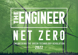

# Engineering the green technology revolution 2022

Net zero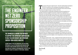# THE ENGINEER NE**\*ZERO** Sponsorship **PROPOSITION**

The Engineer is looking for partners to support this important Campaign and to help deliver insight and important content from across industry.

Aligning yourself with this campaign will give you several opportunities to lead the discussion on how engineers from different sectors can work together to meet the net zero challenge and to showcase your organisation's expertise to The Engineer's 180,000 plus audience of professional engineers.

The events of the past couple of years - from the rapid push for emergency<br>COVID-19 ventilators to the subsequent development of effective<br>vaccines - have provided a powerful reminder of the critical role that<br>cointide and COVID-19 ventilators to the subsequent development of effective vaccines - have provided a powerful reminder of the critical role that scientists and engineers play in our day to day lives.

But addressing the considerable challenges posed by the pandemic are arguably relatively straightforward when compared to complexities of humanity's next big challenge: achieving net-zero carbon dioxide emissions within the next three decades, thereby averting a climate catastrophe that could ultimately make much of our planet uninhabitable. And whilst all areas of society (politicians, business leaders, consumers, and communicators) will have a part to play in this push; the responsibility for inventing, developing, improving, testing, integrating, and maintaining the technologies and solutions that will get us there lies squarely with engineers.

Indeed, from the scale-up of renewable power generation and storage to the development of sustainable mobility solutions, infrastructure, and products; delivering the green technology revolution will require a rapid acceleration in the pace of engineering innovation as well as unprecedented levels of collaboration across different sectors and disciplines.

Running from August to November across The Engineer's online and print platforms The Engineer Net Zero campaign will champion the role that engineers will play in addressing this challenge, explore the opportunities this creates and deliver practical insights on how organisations can meet some of the challenges ahead.

We will also examine what – if any – progress has been made since last year's critical COP26 climate change summit in Glasgow and explore how engineering businesses are delivering on the pledges made at the summit: in terms of both achieving carbon neutrality within their own organisations and developing the technologies that enable will underpin the wider push for net zero by 2050.

The campaign will culminate in November with a special issue of The Engineer, and dedicated fortnight of Net Zero engineering coverage.

*Jon Excell,* Editor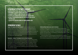## Sponsorship Opportunity Summary

- Branding through the Net Zero project as Headline Partner £21000 • Sponsorship of the the Net Zero research £10,000
- Sponsorship of one of the Panel Discussion events £6950
- Exclusive video interview with the Editor of The Engineer £3300 • Editorial feature and advertising with the special Net Zero issue in November £5400
- 3 articles to be published during the themed fortnight £2500

## Sponsorship Details

**August: The Engineer Net Zero research** Based on a detailed survey of The Engineer's large cross sector audience this special report will explore industry's attitudes to the net zero challenge. We will examine different sectors' appetite for change; uncover some of the key pinch points and knowledge gaps; and spotlight the sectors and disciplines that are leading the net zero 2050 charge. The full research findings will be shared with our project partner for their own analysis and exclusive use, offering them unique market insight.

#### **September – October: The Engineer Net Zero Panel Discussions**

 This series of four panel sessions will bring together cross-sector panels of experts to discuss and explore key topics relating to the engineering net zero challenge. Each panel session will be live streamed to a registered audience, available on demand, and written up as a feature in The Engineer's net zero issue. Sponsorship – which guarantees involvement in one of these sessions – offers an opportunity to deliver your message around net zero and to benefit from access to the database of viewers. The events are as follows:

#### **Understanding & addressing scope 3 emissions**

In industry's quest for net zero, there are three categories of emissions that companies must address: the emissions it produces directly (scope1), the emissions it makes indirectly, through – for instance – the electricity it buys (scope 2) and – arguably most problematically - the emissions it is indirectly responsible for up and down its value chain (scope 3).

In this panel session we will bring together experts from across industry to discuss and define the challenge of addressing Scope 3 emissions and examine some of the methods and approaches that organisations are putting in place to address this.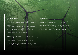#### **Green Hydrogen production**

Thanks to its potential use across so many different application areas. Hydrogen is increasingly expected to play a key role in decarbonising society. However, with most commercial scale hydrogen production processes still reliant on fossil fuels, the pressure is on to develop and scale up so-called green hydrogen production processes.

In this panel discussion we will bring together a group of experts from across industry to explore the challenges of scaling up green hydrogen production, examine some of the latest key developments in green hydrogen production and consider what needs to happen next in terms of policy, skills and technology to ensure that green hydrogen production is scaled up as rapidly as possible.

#### **Energy security and the UK's push for net zero**

Russia's invasion of Ukraine has provided a stark reminder of Europe's ongoing reliance on oil and gas and has prompted fears that efforts to decarbonize at sufficient speed and scale to avert catastrophic climate change could be derailed.

In this panel session we will bring together a panel of experts from across the energy industry to explore the potential impact of the war on the UK's future energy mix. Will it hasten our clean energy transition or could it lead to a slow-down in our collective efforts to phase out fossil fuels. And what measures should we be taking now to ensure that our net zero ambitions are not abandoned?

#### **Marine Energy in the UK**

**The UK Government** estimates that wave & tidal energy technologies have the potential to deliver around 20 per cent of the UK's current electricity needs. Indeed, the UK›s tidal power resource alone is estimated to be more than 10 gigawatts (GW), representing about 50% of Europe stidal energy capacity. And yet - whilst the UK has helped pioneer many of the systems and technologies that could tap into this resource – wave and tidal energy are yet to make much of a mark on the UK's energy mix. In this panel discussion we will bring together experts from across the marine and wider energy communities to discuss why this is the case and explore what needs to be done to finally exploit the enormous energy resource around the UK's coastline.